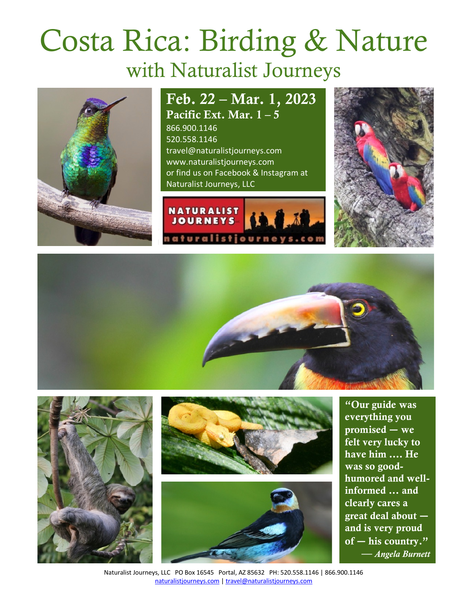# Costa Rica: Birding & Nature with Naturalist Journeys



# Feb. 22 – Mar. 1, 2023 Pacific Ext. Mar. 1 – 5

866.900.1146 520.558.1146 travel@naturalistjourneys.com www.naturalistjourneys.com or find us on Facebook & Instagram at Naturalist Journeys, LLC













"Our guide was everything you promised **―** we felt very lucky to have him …. He was so goodhumored and wellinformed ... and clearly cares a great deal about **―** and is very proud of **―** his country." — *Angela Burnett*

Naturalist Journeys, LLC PO Box 16545 Portal, AZ 85632 PH: 520.558.1146 | 866.900.1146 naturalistjourneys.com | travel@naturalistjourneys.com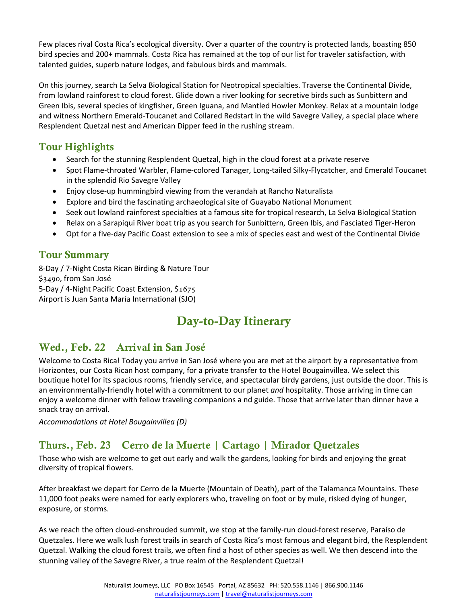Few places rival Costa Rica's ecological diversity. Over a quarter of the country is protected lands, boasting 850 bird species and 200+ mammals. Costa Rica has remained at the top of our list for traveler satisfaction, with talented guides, superb nature lodges, and fabulous birds and mammals.

On this journey, search La Selva Biological Station for Neotropical specialties. Traverse the Continental Divide, from lowland rainforest to cloud forest. Glide down a river looking for secretive birds such as Sunbittern and Green Ibis, several species of kingfisher, Green Iguana, and Mantled Howler Monkey. Relax at a mountain lodge and witness Northern Emerald-Toucanet and Collared Redstart in the wild Savegre Valley, a special place where Resplendent Quetzal nest and American Dipper feed in the rushing stream.

# Tour Highlights

- Search for the stunning Resplendent Quetzal, high in the cloud forest at a private reserve
- Spot Flame-throated Warbler, Flame-colored Tanager, Long-tailed Silky-Flycatcher, and Emerald Toucanet in the splendid Rio Savegre Valley
- Enjoy close-up hummingbird viewing from the verandah at Rancho Naturalista
- Explore and bird the fascinating archaeological site of Guayabo National Monument
- Seek out lowland rainforest specialties at a famous site for tropical research, La Selva Biological Station
- Relax on a Sarapiqui River boat trip as you search for Sunbittern, Green Ibis, and Fasciated Tiger-Heron
- Opt for a five-day Pacific Coast extension to see a mix of species east and west of the Continental Divide

# Tour Summary

8-Day / 7-Night Costa Rican Birding & Nature Tour \$3490, from San José 5-Day / 4-Night Pacific Coast Extension, \$1675 Airport is Juan Santa María International (SJO)

# Day-to-Day Itinerary

# Wed., Feb. 22 Arrival in San José

Welcome to Costa Rica! Today you arrive in San José where you are met at the airport by a representative from Horizontes, our Costa Rican host company, for a private transfer to the Hotel Bougainvillea. We select this boutique hotel for its spacious rooms, friendly service, and spectacular birdy gardens, just outside the door. This is an environmentally-friendly hotel with a commitment to our planet *and* hospitality. Those arriving in time can enjoy a welcome dinner with fellow traveling companions a nd guide. Those that arrive later than dinner have a snack tray on arrival.

*Accommodations at Hotel Bougainvillea (D)*

# Thurs., Feb. 23 Cerro de la Muerte | Cartago | Mirador Quetzales

Those who wish are welcome to get out early and walk the gardens, looking for birds and enjoying the great diversity of tropical flowers.

After breakfast we depart for Cerro de la Muerte (Mountain of Death), part of the Talamanca Mountains. These 11,000 foot peaks were named for early explorers who, traveling on foot or by mule, risked dying of hunger, exposure, or storms.

As we reach the often cloud-enshrouded summit, we stop at the family-run cloud-forest reserve, Paraíso de Quetzales. Here we walk lush forest trails in search of Costa Rica's most famous and elegant bird, the Resplendent Quetzal. Walking the cloud forest trails, we often find a host of other species as well. We then descend into the stunning valley of the Savegre River, a true realm of the Resplendent Quetzal!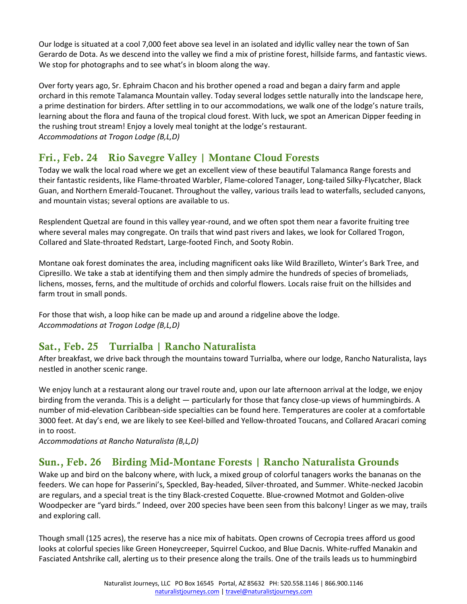Our lodge is situated at a cool 7,000 feet above sea level in an isolated and idyllic valley near the town of San Gerardo de Dota. As we descend into the valley we find a mix of pristine forest, hillside farms, and fantastic views. We stop for photographs and to see what's in bloom along the way.

Over forty years ago, Sr. Ephraim Chacon and his brother opened a road and began a dairy farm and apple orchard in this remote Talamanca Mountain valley. Today several lodges settle naturally into the landscape here, a prime destination for birders. After settling in to our accommodations, we walk one of the lodge's nature trails, learning about the flora and fauna of the tropical cloud forest. With luck, we spot an American Dipper feeding in the rushing trout stream! Enjoy a lovely meal tonight at the lodge's restaurant. *Accommodations at Trogon Lodge (B,L,D)* 

# Fri., Feb. 24 Rio Savegre Valley | Montane Cloud Forests

Today we walk the local road where we get an excellent view of these beautiful Talamanca Range forests and their fantastic residents, like Flame-throated Warbler, Flame-colored Tanager, Long-tailed Silky-Flycatcher, Black Guan, and Northern Emerald-Toucanet. Throughout the valley, various trails lead to waterfalls, secluded canyons, and mountain vistas; several options are available to us.

Resplendent Quetzal are found in this valley year-round, and we often spot them near a favorite fruiting tree where several males may congregate. On trails that wind past rivers and lakes, we look for Collared Trogon, Collared and Slate-throated Redstart, Large-footed Finch, and Sooty Robin.

Montane oak forest dominates the area, including magnificent oaks like Wild Brazilleto, Winter's Bark Tree, and Cipresillo. We take a stab at identifying them and then simply admire the hundreds of species of bromeliads, lichens, mosses, ferns, and the multitude of orchids and colorful flowers. Locals raise fruit on the hillsides and farm trout in small ponds.

For those that wish, a loop hike can be made up and around a ridgeline above the lodge. *Accommodations at Trogon Lodge (B,L,D)*

# Sat., Feb. 25 Turrialba | Rancho Naturalista

After breakfast, we drive back through the mountains toward Turrialba, where our lodge, Rancho Naturalista, lays nestled in another scenic range.

We enjoy lunch at a restaurant along our travel route and, upon our late afternoon arrival at the lodge, we enjoy birding from the veranda. This is a delight ― particularly for those that fancy close-up views of hummingbirds. A number of mid-elevation Caribbean-side specialties can be found here. Temperatures are cooler at a comfortable 3000 feet. At day's end, we are likely to see Keel-billed and Yellow-throated Toucans, and Collared Aracari coming in to roost.

*Accommodations at Rancho Naturalista (B,L,D)* 

## Sun., Feb. 26 Birding Mid-Montane Forests | Rancho Naturalista Grounds

Wake up and bird on the balcony where, with luck, a mixed group of colorful tanagers works the bananas on the feeders. We can hope for Passerini's, Speckled, Bay-headed, Silver-throated, and Summer. White-necked Jacobin are regulars, and a special treat is the tiny Black-crested Coquette. Blue-crowned Motmot and Golden-olive Woodpecker are "yard birds." Indeed, over 200 species have been seen from this balcony! Linger as we may, trails and exploring call.

Though small (125 acres), the reserve has a nice mix of habitats. Open crowns of Cecropia trees afford us good looks at colorful species like Green Honeycreeper, Squirrel Cuckoo, and Blue Dacnis. White-ruffed Manakin and Fasciated Antshrike call, alerting us to their presence along the trails. One of the trails leads us to hummingbird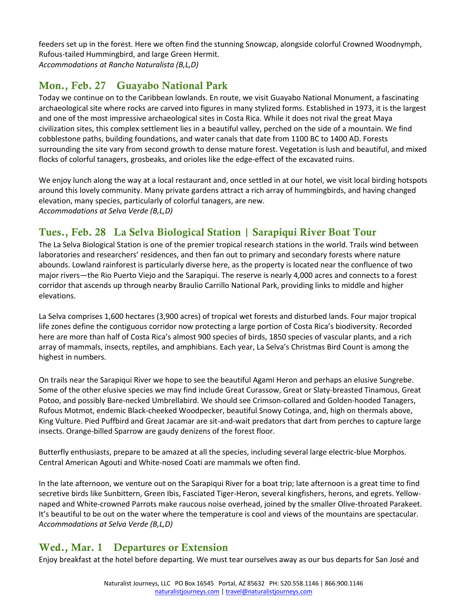feeders set up in the forest. Here we often find the stunning Snowcap, alongside colorful Crowned Woodnymph, Rufous-tailed Hummingbird, and large Green Hermit. *Accommodations at Rancho Naturalista (B,L,D)*

# Mon., Feb. 27 Guayabo National Park

Today we continue on to the Caribbean lowlands. En route, we visit Guayabo National Monument, a fascinating archaeological site where rocks are carved into figures in many stylized forms. Established in 1973, it is the largest and one of the most impressive archaeological sites in Costa Rica. While it does not rival the great Maya civilization sites, this complex settlement lies in a beautiful valley, perched on the side of a mountain. We find cobblestone paths, building foundations, and water canals that date from 1100 BC to 1400 AD. Forests surrounding the site vary from second growth to dense mature forest. Vegetation is lush and beautiful, and mixed flocks of colorful tanagers, grosbeaks, and orioles like the edge-effect of the excavated ruins.

We enjoy lunch along the way at a local restaurant and, once settled in at our hotel, we visit local birding hotspots around this lovely community. Many private gardens attract a rich array of hummingbirds, and having changed elevation, many species, particularly of colorful tanagers, are new. *Accommodations at Selva Verde (B,L,D)* 

# Tues., Feb. 28 La Selva Biological Station | Sarapiqui River Boat Tour

The La Selva Biological Station is one of the premier tropical research stations in the world. Trails wind between laboratories and researchers' residences, and then fan out to primary and secondary forests where nature abounds. Lowland rainforest is particularly diverse here, as the property is located near the confluence of two major rivers—the Rio Puerto Viejo and the Sarapiqui. The reserve is nearly 4,000 acres and connects to a forest corridor that ascends up through nearby Braulio Carrillo National Park, providing links to middle and higher elevations.

La Selva comprises 1,600 hectares (3,900 acres) of tropical wet forests and disturbed lands. Four major tropical life zones define the contiguous corridor now protecting a large portion of Costa Rica's biodiversity. Recorded here are more than half of Costa Rica's almost 900 species of birds, 1850 species of vascular plants, and a rich array of mammals, insects, reptiles, and amphibians. Each year, La Selva's Christmas Bird Count is among the highest in numbers.

On trails near the Sarapiqui River we hope to see the beautiful Agami Heron and perhaps an elusive Sungrebe. Some of the other elusive species we may find include Great Curassow, Great or Slaty-breasted Tinamous, Great Potoo, and possibly Bare-necked Umbrellabird. We should see Crimson-collared and Golden-hooded Tanagers, Rufous Motmot, endemic Black-cheeked Woodpecker, beautiful Snowy Cotinga, and, high on thermals above, King Vulture. Pied Puffbird and Great Jacamar are sit-and-wait predators that dart from perches to capture large insects. Orange-billed Sparrow are gaudy denizens of the forest floor.

Butterfly enthusiasts, prepare to be amazed at all the species, including several large electric-blue Morphos. Central American Agouti and White-nosed Coati are mammals we often find.

In the late afternoon, we venture out on the Sarapiqui River for a boat trip; late afternoon is a great time to find secretive birds like Sunbittern, Green Ibis, Fasciated Tiger-Heron, several kingfishers, herons, and egrets. Yellownaped and White-crowned Parrots make raucous noise overhead, joined by the smaller Olive-throated Parakeet. It's beautiful to be out on the water where the temperature is cool and views of the mountains are spectacular. *Accommodations at Selva Verde (B,L,D)*

# Wed., Mar. 1 Departures or Extension

Enjoy breakfast at the hotel before departing. We must tear ourselves away as our bus departs for San José and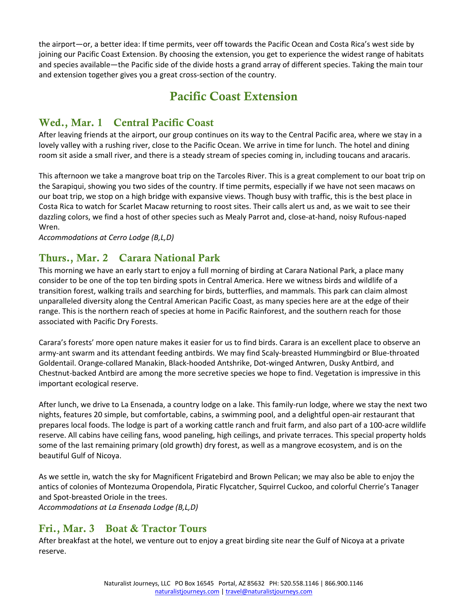the airport―or, a better idea: If time permits, veer off towards the Pacific Ocean and Costa Rica's west side by joining our Pacific Coast Extension. By choosing the extension, you get to experience the widest range of habitats and species available―the Pacific side of the divide hosts a grand array of different species. Taking the main tour and extension together gives you a great cross-section of the country.

# Pacific Coast Extension

## Wed., Mar. 1 Central Pacific Coast

After leaving friends at the airport, our group continues on its way to the Central Pacific area, where we stay in a lovely valley with a rushing river, close to the Pacific Ocean. We arrive in time for lunch. The hotel and dining room sit aside a small river, and there is a steady stream of species coming in, including toucans and aracaris.

This afternoon we take a mangrove boat trip on the Tarcoles River. This is a great complement to our boat trip on the Sarapiqui, showing you two sides of the country. If time permits, especially if we have not seen macaws on our boat trip, we stop on a high bridge with expansive views. Though busy with traffic, this is the best place in Costa Rica to watch for Scarlet Macaw returning to roost sites. Their calls alert us and, as we wait to see their dazzling colors, we find a host of other species such as Mealy Parrot and, close-at-hand, noisy Rufous-naped Wren.

*Accommodations at Cerro Lodge (B,L,D)* 

## Thurs., Mar. 2 Carara National Park

This morning we have an early start to enjoy a full morning of birding at Carara National Park, a place many consider to be one of the top ten birding spots in Central America. Here we witness birds and wildlife of a transition forest, walking trails and searching for birds, butterflies, and mammals. This park can claim almost unparalleled diversity along the Central American Pacific Coast, as many species here are at the edge of their range. This is the northern reach of species at home in Pacific Rainforest, and the southern reach for those associated with Pacific Dry Forests.

Carara's forests' more open nature makes it easier for us to find birds. Carara is an excellent place to observe an army-ant swarm and its attendant feeding antbirds. We may find Scaly-breasted Hummingbird or Blue-throated Goldentail. Orange-collared Manakin, Black-hooded Antshrike, Dot-winged Antwren, Dusky Antbird, and Chestnut-backed Antbird are among the more secretive species we hope to find. Vegetation is impressive in this important ecological reserve.

After lunch, we drive to La Ensenada, a country lodge on a lake. This family-run lodge, where we stay the next two nights, features 20 simple, but comfortable, cabins, a swimming pool, and a delightful open-air restaurant that prepares local foods. The lodge is part of a working cattle ranch and fruit farm, and also part of a 100-acre wildlife reserve. All cabins have ceiling fans, wood paneling, high ceilings, and private terraces. This special property holds some of the last remaining primary (old growth) dry forest, as well as a mangrove ecosystem, and is on the beautiful Gulf of Nicoya.

As we settle in, watch the sky for Magnificent Frigatebird and Brown Pelican; we may also be able to enjoy the antics of colonies of Montezuma Oropendola, Piratic Flycatcher, Squirrel Cuckoo, and colorful Cherrie's Tanager and Spot-breasted Oriole in the trees.

*Accommodations at La Ensenada Lodge (B,L,D)*

#### Fri., Mar. 3 Boat & Tractor Tours

After breakfast at the hotel, we venture out to enjoy a great birding site near the Gulf of Nicoya at a private reserve.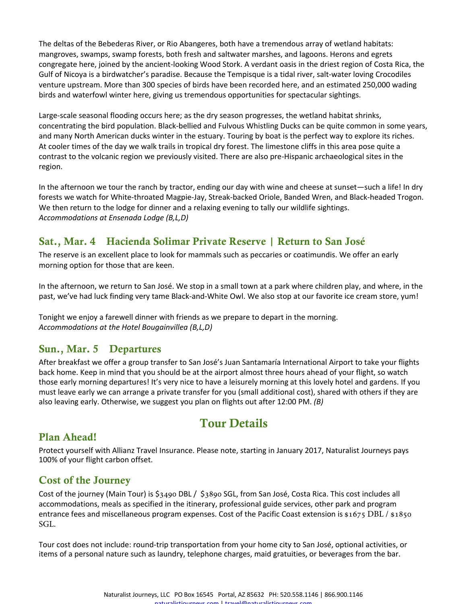The deltas of the Bebederas River, or Rio Abangeres, both have a tremendous array of wetland habitats: mangroves, swamps, swamp forests, both fresh and saltwater marshes, and lagoons. Herons and egrets congregate here, joined by the ancient-looking Wood Stork. A verdant oasis in the driest region of Costa Rica, the Gulf of Nicoya is a birdwatcher's paradise. Because the Tempisque is a tidal river, salt-water loving Crocodiles venture upstream. More than 300 species of birds have been recorded here, and an estimated 250,000 wading birds and waterfowl winter here, giving us tremendous opportunities for spectacular sightings.

Large-scale seasonal flooding occurs here; as the dry season progresses, the wetland habitat shrinks, concentrating the bird population. Black-bellied and Fulvous Whistling Ducks can be quite common in some years, and many North American ducks winter in the estuary. Touring by boat is the perfect way to explore its riches. At cooler times of the day we walk trails in tropical dry forest. The limestone cliffs in this area pose quite a contrast to the volcanic region we previously visited. There are also pre-Hispanic archaeological sites in the region.

In the afternoon we tour the ranch by tractor, ending our day with wine and cheese at sunset―such a life! In dry forests we watch for White-throated Magpie-Jay, Streak-backed Oriole, Banded Wren, and Black-headed Trogon. We then return to the lodge for dinner and a relaxing evening to tally our wildlife sightings. *Accommodations at Ensenada Lodge (B,L,D)*

## Sat., Mar. 4 Hacienda Solimar Private Reserve | Return to San José

The reserve is an excellent place to look for mammals such as peccaries or coatimundis. We offer an early morning option for those that are keen.

In the afternoon, we return to San José. We stop in a small town at a park where children play, and where, in the past, we've had luck finding very tame Black-and-White Owl. We also stop at our favorite ice cream store, yum!

Tonight we enjoy a farewell dinner with friends as we prepare to depart in the morning. *Accommodations at the Hotel Bougainvillea (B,L,D)*

## Sun., Mar. 5 Departures

After breakfast we offer a group transfer to San José's Juan Santamaría International Airport to take your flights back home. Keep in mind that you should be at the airport almost three hours ahead of your flight, so watch those early morning departures! It's very nice to have a leisurely morning at this lovely hotel and gardens. If you must leave early we can arrange a private transfer for you (small additional cost), shared with others if they are also leaving early. Otherwise, we suggest you plan on flights out after 12:00 PM. *(B)*

# Tour Details

#### Plan Ahead!

Protect yourself with Allianz Travel Insurance. Please note, starting in January 2017, Naturalist Journeys pays 100% of your flight carbon offset.

#### Cost of the Journey

Cost of the journey (Main Tour) is \$3490 DBL / \$3890 SGL, from San José, Costa Rica. This cost includes all accommodations, meals as specified in the itinerary, professional guide services, other park and program entrance fees and miscellaneous program expenses. Cost of the Pacific Coast extension is \$1675 DBL / \$1850 SGL.

Tour cost does not include: round-trip transportation from your home city to San José, optional activities, or items of a personal nature such as laundry, telephone charges, maid gratuities, or beverages from the bar.